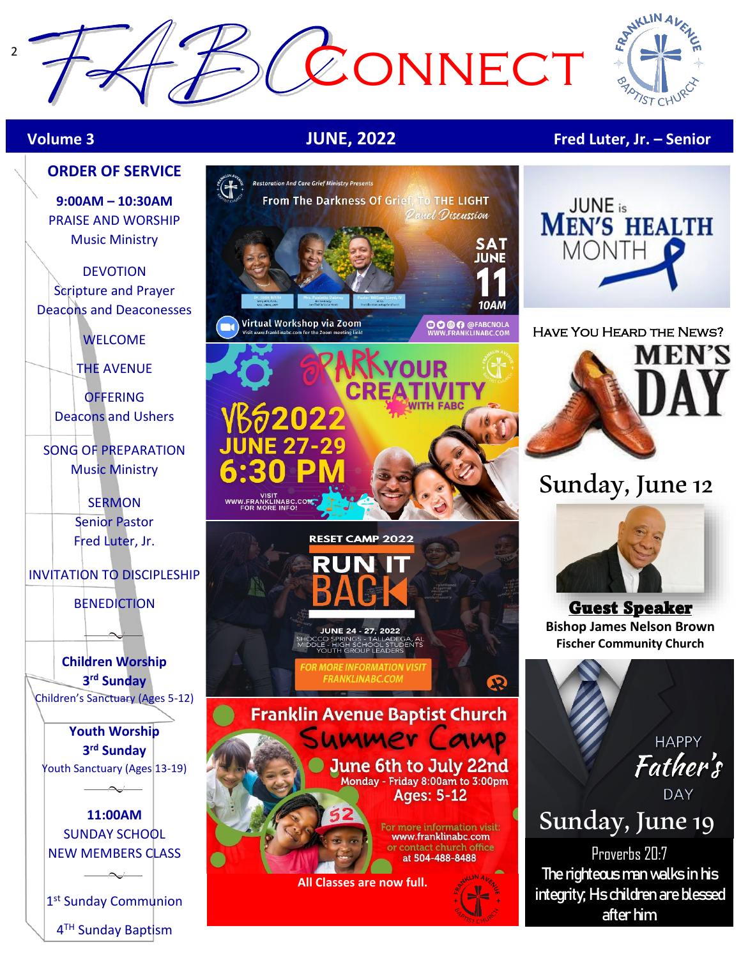



## **Volume 3 JUNE, 2022 Fred Luter, Jr. – Senior**

**9:00AM – 10:30AM** PRAISE AND WORSHIP Music Ministry

DEVOTION Scripture and Prayer Deacons and Deaconesses

WELCOME

THE AVENUE

**OFFERING** Deacons and Ushers

SONG OF PREPARATION Music Ministry

> SERMON Senior Pastor Fred Luter, Jr.

INVITATION TO DISCIPLESHIP

**BENEDICTION** 

**Children Worship 3 rd Sunday** Children's Sanctuary (Ages 5-12)

**Youth Worship 3 rd Sunday** Youth Sanctuary (Ages 13-19)

**11:00AM**  SUNDAY SCHOOL NEW MEMBERS CLASS

1<sup>st</sup> Sunday Communion 4<sup>TH</sup> Sunday Baptism





#### Have You Heard the News?



# Sunday, June 12



Guest Speaker **Bishop James Nelson Brown Fischer Community Church**

> **HAPPY** Father's

# <sup>DAY</sup><br>Sunday, June 19

Proverbs 20:7 **The righteous man walks in his integrity; His children are blessed after him.**